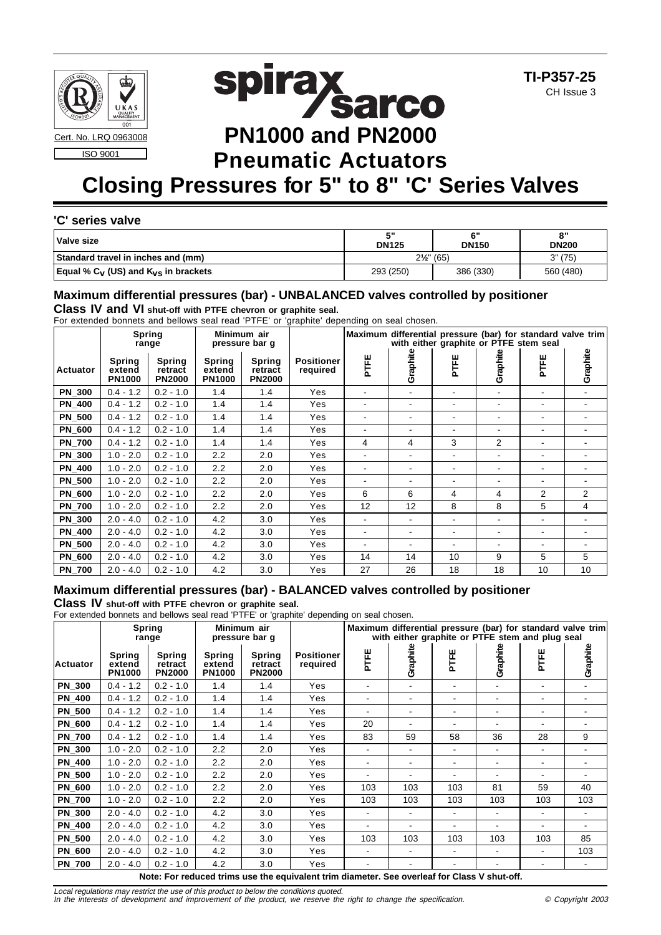





# **Pneumatic Actuators Closing Pressures for 5" to 8" 'C' Series Valves**

#### **'C' series valve**

| Valve size                                  | г"<br><b>DN125</b>    | $\mathbf{c}$ "<br><b>DN150</b> | 0 H<br><b>DN200</b> |  |
|---------------------------------------------|-----------------------|--------------------------------|---------------------|--|
| Standard travel in inches and (mm)          | $2\frac{1}{2}$ " (65) | 3" (75)                        |                     |  |
| Equal % $C_V$ (US) and $K_{VS}$ in brackets | 293 (250)             | 386 (330)                      | 560 (480)           |  |

## **Maximum differential pressures (bar) - UNBALANCED valves controlled by positioner**

**Class IV and VI shut-off with PTFE chevron or graphite seal.**

For extended bonnets and bellows seal read 'PTFE' or 'graphite' depending on seal chosen.

|               | Spring<br>range                          |                                           | Minimum air<br>pressure bar g            |                                           |                               | Maximum        |                          | differential pressure (bar) for standard valve trim<br>with either graphite or PTFE stem seal |                |                |                |
|---------------|------------------------------------------|-------------------------------------------|------------------------------------------|-------------------------------------------|-------------------------------|----------------|--------------------------|-----------------------------------------------------------------------------------------------|----------------|----------------|----------------|
| Actuator      | <b>Spring</b><br>extend<br><b>PN1000</b> | <b>Spring</b><br>retract<br><b>PN2000</b> | <b>Spring</b><br>extend<br><b>PN1000</b> | <b>Spring</b><br>retract<br><b>PN2000</b> | <b>Positioner</b><br>required | PTFE           | Graphite                 | PTFE                                                                                          | Graphite       | PTFE           | Graphite       |
| <b>PN 300</b> | $0.4 - 1.2$                              | $0.2 - 1.0$                               | 1.4                                      | 1.4                                       | Yes                           |                | $\blacksquare$           |                                                                                               | $\blacksquare$ |                |                |
| <b>PN 400</b> | $0.4 - 1.2$                              | $0.2 - 1.0$                               | 1.4                                      | 1.4                                       | Yes                           | ٠              | $\blacksquare$           |                                                                                               | ٠              |                |                |
| <b>PN 500</b> | $0.4 - 1.2$                              | $0.2 - 1.0$                               | 1.4                                      | 1.4                                       | Yes                           | $\overline{a}$ | $\overline{\phantom{a}}$ | ٠                                                                                             | $\blacksquare$ | ۰              |                |
| <b>PN 600</b> | $0.4 - 1.2$                              | $0.2 - 1.0$                               | 1.4                                      | 1.4                                       | Yes                           | $\overline{a}$ | $\overline{\phantom{a}}$ | Ξ.                                                                                            | $\blacksquare$ | ۰.             |                |
| <b>PN 700</b> | $0.4 - 1.2$                              | $0.2 - 1.0$                               | 1.4                                      | 1.4                                       | Yes                           | 4              | 4                        | 3                                                                                             | $\overline{2}$ | $\sim$         |                |
| <b>PN_300</b> | $1.0 - 2.0$                              | $0.2 - 1.0$                               | 2.2                                      | 2.0                                       | Yes                           |                | $\overline{\phantom{a}}$ | ۰.                                                                                            | ۰              |                |                |
| <b>PN 400</b> | $1.0 - 2.0$                              | $0.2 - 1.0$                               | 2.2                                      | 2.0                                       | Yes                           |                | $\overline{\phantom{a}}$ |                                                                                               | ۰              |                |                |
| <b>PN 500</b> | $1.0 - 2.0$                              | $0.2 - 1.0$                               | 2.2                                      | 2.0                                       | Yes                           |                | $\overline{\phantom{a}}$ |                                                                                               |                |                |                |
| <b>PN 600</b> | $1.0 - 2.0$                              | $0.2 - 1.0$                               | 2.2                                      | 2.0                                       | Yes                           | 6              | 6                        | 4                                                                                             | 4              | $\overline{2}$ | $\overline{2}$ |
| <b>PN 700</b> | $1.0 - 2.0$                              | $0.2 - 1.0$                               | 2.2                                      | 2.0                                       | Yes                           | 12             | 12                       | 8                                                                                             | 8              | 5              | 4              |
| <b>PN_300</b> | $2.0 - 4.0$                              | $0.2 - 1.0$                               | 4.2                                      | 3.0                                       | Yes                           | $\blacksquare$ | $\blacksquare$           | Ξ.                                                                                            | $\blacksquare$ | $\sim$         |                |
| <b>PN 400</b> | $2.0 - 4.0$                              | $0.2 - 1.0$                               | 4.2                                      | 3.0                                       | Yes                           |                | $\overline{\phantom{a}}$ |                                                                                               | ۰              |                |                |
| <b>PN 500</b> | $2.0 - 4.0$                              | $0.2 - 1.0$                               | 4.2                                      | 3.0                                       | Yes                           |                | $\blacksquare$           | ۰                                                                                             | $\blacksquare$ |                |                |
| <b>PN 600</b> | $2.0 - 4.0$                              | $0.2 - 1.0$                               | 4.2                                      | 3.0                                       | Yes                           | 14             | 14                       | 10                                                                                            | 9              | 5              | 5              |
| <b>PN 700</b> | $2.0 - 4.0$                              | $0.2 - 1.0$                               | 4.2                                      | 3.0                                       | Yes                           | 27             | 26                       | 18                                                                                            | 18             | 10             | 10             |

#### **Maximum differential pressures (bar) - BALANCED valves controlled by positioner**

**Class IV shut-off with PTFE chevron or graphite seal.**

For extended bonnets and bellows seal read 'PTFE' or 'graphite' depending on seal chosen.

| $\sim$ 0. CALCHOCO DOMINGS AND DOMOVIS SCAL FORD TIME. OF GRAPHING ORDERING ON SCAL CHOSGIT.<br>Maximum differential pressure (bar) for standard valve trim |                                          |                                           |                                          |                                           |                               |                              |                |                |                                                 |                          |          |
|-------------------------------------------------------------------------------------------------------------------------------------------------------------|------------------------------------------|-------------------------------------------|------------------------------------------|-------------------------------------------|-------------------------------|------------------------------|----------------|----------------|-------------------------------------------------|--------------------------|----------|
|                                                                                                                                                             |                                          | <b>Spring</b>                             |                                          | Minimum air                               |                               |                              |                |                |                                                 |                          |          |
|                                                                                                                                                             |                                          | range                                     |                                          | pressure bar g                            |                               |                              |                |                | with either graphite or PTFE stem and plug seal |                          |          |
| Actuator                                                                                                                                                    | <b>Spring</b><br>extend<br><b>PN1000</b> | <b>Spring</b><br>retract<br><b>PN2000</b> | <b>Spring</b><br>extend<br><b>PN1000</b> | <b>Spring</b><br>retract<br><b>PN2000</b> | <b>Positioner</b><br>required | PTFE                         | Graphite       | PTFE           | Graphite                                        | PTFE                     | Graphite |
| <b>PN 300</b>                                                                                                                                               | $0.4 - 1.2$                              | $0.2 - 1.0$                               | 1.4                                      | 1.4                                       | Yes                           | $\qquad \qquad \blacksquare$ |                |                |                                                 |                          |          |
| <b>PN 400</b>                                                                                                                                               | $0.4 - 1.2$                              | $0.2 - 1.0$                               | 1.4                                      | 1.4                                       | Yes                           | $\blacksquare$               | $\sim$         | $\blacksquare$ | Ξ.                                              | ۰.                       |          |
| <b>PN 500</b>                                                                                                                                               | $0.4 - 1.2$                              | $0.2 - 1.0$                               | 1.4                                      | 1.4                                       | Yes                           |                              |                | ۰              |                                                 | ۰                        |          |
| <b>PN_600</b>                                                                                                                                               | $0.4 - 1.2$                              | $0.2 - 1.0$                               | 1.4                                      | 1.4                                       | Yes                           | 20                           | $\blacksquare$ | $\blacksquare$ |                                                 | $\overline{\phantom{0}}$ |          |
| <b>PN 700</b>                                                                                                                                               | $0.4 - 1.2$                              | $0.2 - 1.0$                               | 1.4                                      | 1.4                                       | Yes                           | 83                           | 59             | 58             | 36                                              | 28                       | 9        |
| <b>PN_300</b>                                                                                                                                               | $1.0 - 2.0$                              | $0.2 - 1.0$                               | 2.2                                      | 2.0                                       | Yes                           | $\blacksquare$               | $\sim$         | $\blacksquare$ | ٠                                               | ٠                        |          |
| <b>PN 400</b>                                                                                                                                               | $1.0 - 2.0$                              | $0.2 - 1.0$                               | 2.2                                      | 2.0                                       | Yes                           | $\blacksquare$               | ٠              | ۰              |                                                 | ٠                        |          |
| <b>PN 500</b>                                                                                                                                               | $1.0 - 2.0$                              | $0.2 - 1.0$                               | 2.2                                      | 2.0                                       | Yes                           |                              |                | ۰              |                                                 |                          |          |
| <b>PN_600</b>                                                                                                                                               | $1.0 - 2.0$                              | $0.2 - 1.0$                               | 2.2                                      | 2.0                                       | Yes                           | 103                          | 103            | 103            | 81                                              | 59                       | 40       |
| <b>PN 700</b>                                                                                                                                               | $1.0 - 2.0$                              | $0.2 - 1.0$                               | 2.2                                      | 2.0                                       | Yes                           | 103                          | 103            | 103            | 103                                             | 103                      | 103      |
| <b>PN 300</b>                                                                                                                                               | $2.0 - 4.0$                              | $0.2 - 1.0$                               | 4.2                                      | 3.0                                       | Yes                           | $\blacksquare$               | Ξ.             | ۰              |                                                 | $\blacksquare$           |          |
| <b>PN_400</b>                                                                                                                                               | $2.0 - 4.0$                              | $0.2 - 1.0$                               | 4.2                                      | 3.0                                       | Yes                           | $\blacksquare$               | $\sim$         | $\blacksquare$ | Ξ.                                              | ٠                        |          |
| <b>PN_500</b>                                                                                                                                               | $2.0 - 4.0$                              | $0.2 - 1.0$                               | 4.2                                      | 3.0                                       | Yes                           | 103                          | 103            | 103            | 103                                             | 103                      | 85       |
| <b>PN 600</b>                                                                                                                                               | $2.0 - 4.0$                              | $0.2 - 1.0$                               | 4.2                                      | 3.0                                       | Yes                           | $\blacksquare$               | $\blacksquare$ | $\blacksquare$ |                                                 | ٠                        | 103      |
| <b>PN 700</b>                                                                                                                                               | $2.0 - 4.0$                              | $0.2 - 1.0$                               | 4.2                                      | 3.0                                       | Yes                           |                              | ٠              | ۰              |                                                 | ۰                        |          |

**Note: For reduced trims use the equivalent trim diameter. See overleaf for Class V shut-off.**

Local regulations may restrict the use of this product to below the conditions quoted.